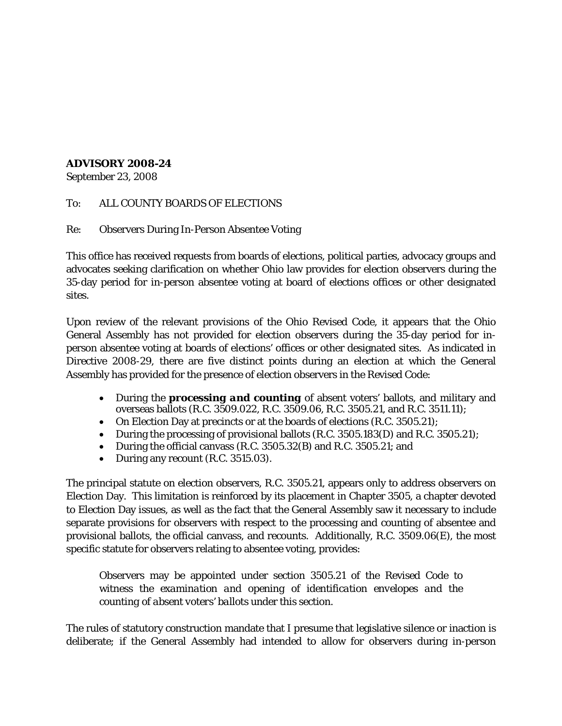## **ADVISORY 2008-24**

September 23, 2008

To: ALL COUNTY BOARDS OF ELECTIONS

Re: Observers During In-Person Absentee Voting

This office has received requests from boards of elections, political parties, advocacy groups and advocates seeking clarification on whether Ohio law provides for election observers during the 35-day period for in-person absentee voting at board of elections offices or other designated sites.

Upon review of the relevant provisions of the Ohio Revised Code, it appears that the Ohio General Assembly has not provided for election observers during the 35-day period for inperson absentee voting at boards of elections' offices or other designated sites. As indicated in Directive 2008-29, there are five distinct points during an election at which the General Assembly has provided for the presence of election observers in the Revised Code:

- During the *processing and counting* of absent voters' ballots, and military and overseas ballots (R.C. 3509.022, R.C. 3509.06, R.C. 3505.21, and R.C. 3511.11);
- On Election Day at precincts or at the boards of elections (R.C. 3505.21);
- During the processing of provisional ballots (R.C. 3505.183(D) and R.C. 3505.21);
- During the official canvass (R.C. 3505.32(B) and R.C. 3505.21; and
- During any recount (R.C. 3515.03).

The principal statute on election observers, R.C. 3505.21, appears only to address observers on Election Day. This limitation is reinforced by its placement in Chapter 3505, a chapter devoted to Election Day issues, as well as the fact that the General Assembly saw it necessary to include separate provisions for observers with respect to the processing and counting of absentee and provisional ballots, the official canvass, and recounts. Additionally, R.C. 3509.06(E), the most specific statute for observers relating to absentee voting, provides:

Observers may be appointed under section 3505.21 of the Revised Code to witness the *examination and opening of identification envelopes and the counting of absent voters' ballots* under this section.

The rules of statutory construction mandate that I presume that legislative silence or inaction is deliberate; if the General Assembly had intended to allow for observers during in-person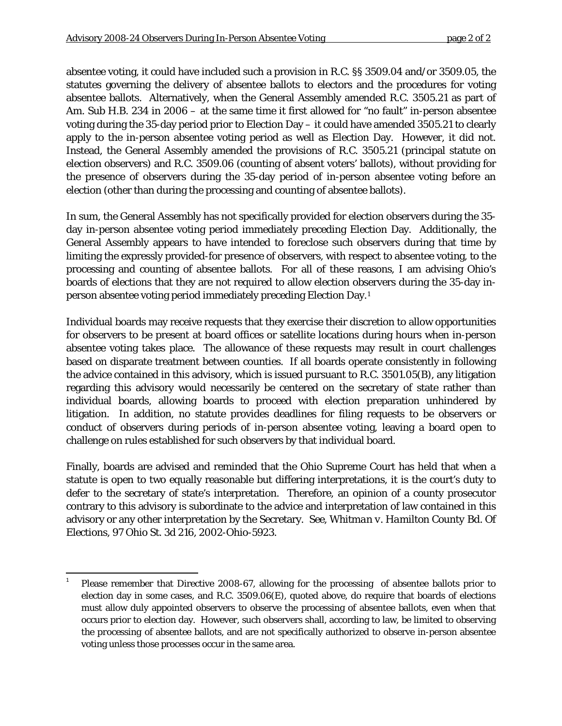absentee voting, it could have included such a provision in R.C. §§ 3509.04 and/or 3509.05, the statutes governing the delivery of absentee ballots to electors and the procedures for voting absentee ballots. Alternatively, when the General Assembly amended R.C. 3505.21 as part of Am. Sub H.B. 234 in 2006 – at the same time it first allowed for "no fault" in-person absentee voting during the 35-day period prior to Election Day – it could have amended 3505.21 to clearly apply to the in-person absentee voting period as well as Election Day. However, it did not. Instead, the General Assembly amended the provisions of R.C. 3505.21 (principal statute on election observers) and R.C. 3509.06 (counting of absent voters' ballots), without providing for the presence of observers during the 35-day period of in-person absentee voting before an election (other than during the processing and counting of absentee ballots).

In sum, the General Assembly has not specifically provided for election observers during the 35 day in-person absentee voting period immediately preceding Election Day. Additionally, the General Assembly appears to have intended to foreclose such observers during that time by limiting the expressly provided-for presence of observers, with respect to absentee voting, to the processing and counting of absentee ballots. For all of these reasons, I am advising Ohio's boards of elections that they are not required to allow election observers during the 35-day inperson absentee voting period immediately preceding Election Day.1

Individual boards may receive requests that they exercise their discretion to allow opportunities for observers to be present at board offices or satellite locations during hours when in-person absentee voting takes place. The allowance of these requests may result in court challenges based on disparate treatment between counties. If all boards operate consistently in following the advice contained in this advisory, which is issued pursuant to R.C. 3501.05(B), any litigation regarding this advisory would necessarily be centered on the secretary of state rather than individual boards, allowing boards to proceed with election preparation unhindered by litigation. In addition, no statute provides deadlines for filing requests to be observers or conduct of observers during periods of in-person absentee voting, leaving a board open to challenge on rules established for such observers by that individual board.

Finally, boards are advised and reminded that the Ohio Supreme Court has held that when a statute is open to two equally reasonable but differing interpretations, it is the court's duty to defer to the secretary of state's interpretation. Therefore, an opinion of a county prosecutor contrary to this advisory is subordinate to the advice and interpretation of law contained in this advisory or any other interpretation by the Secretary. *See, Whitman v. Hamilton County Bd. Of Elections,* 97 Ohio St. 3d 216, 2002-Ohio-5923.

 <sup>1</sup> Please remember that Directive 2008-67, allowing for the processing of absentee ballots prior to election day in some cases, and R.C. 3509.06(E), quoted above, do require that boards of elections must allow duly appointed observers to observe the processing of absentee ballots, even when that occurs prior to election day. However, such observers shall, according to law, be limited to observing the *processing* of absentee ballots, and are not specifically authorized to observe in-person absentee voting unless those processes occur in the same area.